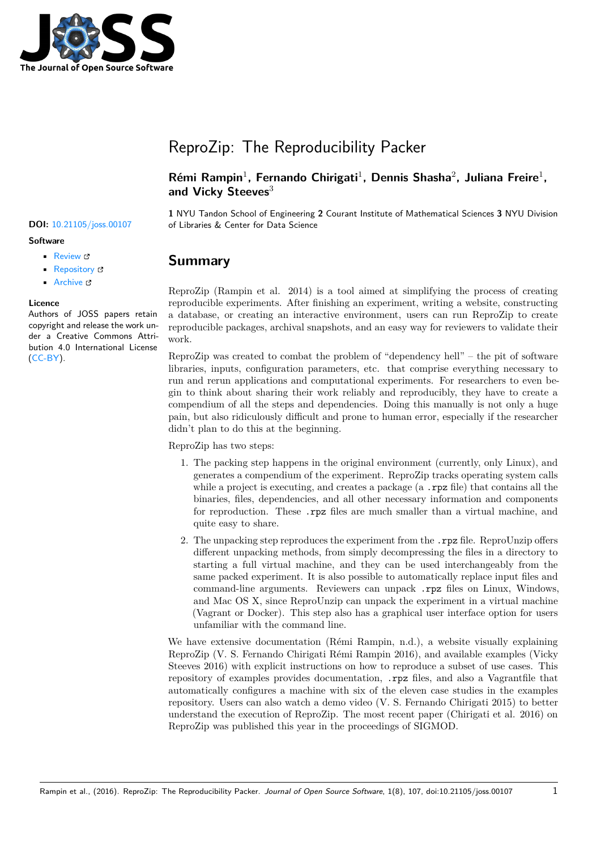

# ReproZip: The Reproducibility Packer

## Rémi Rampin<sup>1</sup>, Fernando Chirigati<sup>1</sup>, Dennis Shasha<sup>2</sup>, Juliana Freire<sup>1</sup>, **and Vicky Steeves**<sup>3</sup>

**1** NYU Tandon School of Engineering **2** Courant Institute of Mathematical Sciences **3** NYU Division **DOI:** 10.21105/joss.00107 of Libraries & Center for Data Science

## **Summary**

ReproZip (Rampin et al. 2014) is a tool aimed at simplifying the process of creating reproducible experiments. After finishing an experiment, writing a website, constructing a database, or creating an interactive environment, users can run ReproZip to create reproducible packages, archival snapshots, and an easy way for reviewers to validate their work.

ReproZip was created to combat the problem of "dependency hell" – the pit of software libraries, inputs, configuration parameters, etc. that comprise everything necessary to run and rerun applications and computational experiments. For researchers to even begin to think about sharing their work reliably and reproducibly, they have to create a compendium of all the steps and dependencies. Doing this manually is not only a huge pain, but also ridiculously difficult and prone to human error, especially if the researcher didn't plan to do this at the beginning.

ReproZip has two steps:

- 1. The packing step happens in the original environment (currently, only Linux), and generates a compendium of the experiment. ReproZip tracks operating system calls while a project is executing, and creates a package  $(a \cdot \text{rpz file})$  that contains all the binaries, files, dependencies, and all other necessary information and components for reproduction. These .rpz files are much smaller than a virtual machine, and quite easy to share.
- 2. The unpacking step reproduces the experiment from the .rpz file. ReproUnzip offers different unpacking methods, from simply decompressing the files in a directory to starting a full virtual machine, and they can be used interchangeably from the same packed experiment. It is also possible to automatically replace input files and command-line arguments. Reviewers can unpack rpz files on Linux, Windows, and Mac OS X, since ReproUnzip can unpack the experiment in a virtual machine (Vagrant or Docker). This step also has a graphical user interface option for users unfamiliar with the command line.

We have extensive documentation (Rémi Rampin, n.d.), a website visually explaining ReproZip (V. S. Fernando Chirigati Rémi Rampin 2016), and available examples (Vicky Steeves 2016) with explicit instructions on how to reproduce a subset of use cases. This repository of examples provides documentation, .rpz files, and also a Vagrantfile that automatically configures a machine with six of the eleven case studies in the examples repository. Users can also watch a demo video (V. S. Fernando Chirigati 2015) to better understand the execution of ReproZip. The most recent paper (Chirigati et al. 2016) on ReproZip was published this year in the proceedings of SIGMOD.

#### **Software**

- Review &
- [Repository](https://doi.org/10.21105/joss.00107) C
- Archive

### **Licence**

Autho[rs of JOSS](https://github.com/ViDA-NYU/reprozip) papers retain copyright and release the work under a [Creativ](https://dx.doi.org/10.5281/zenodo.159604)e Commons Attribution 4.0 International License  $(CC-BY)$ .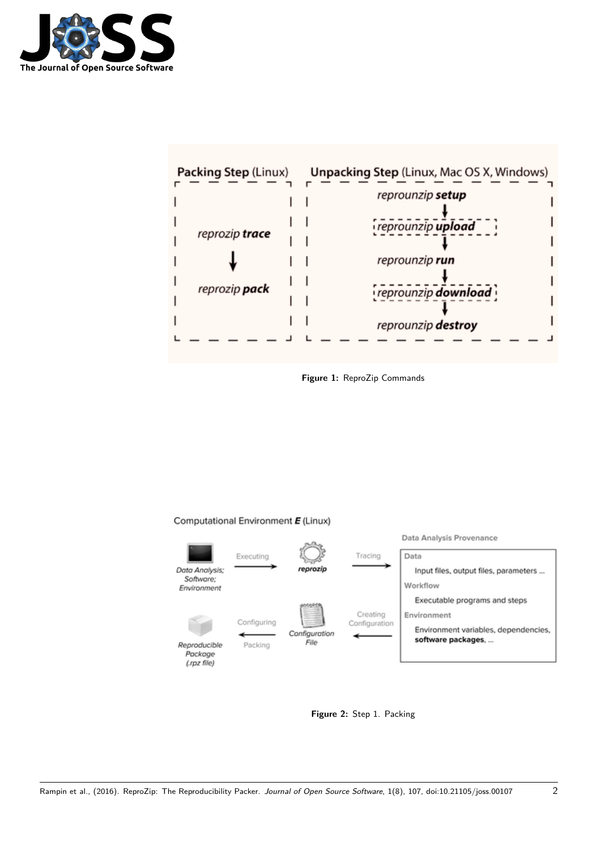



**Figure 1:** ReproZip Commands

#### Computational Environment E (Linux)



**Figure 2:** Step 1. Packing